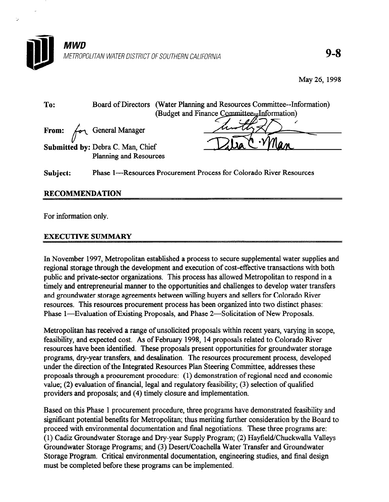

May 26, 1998

| To: |                                   | Board of Directors (Water Planning and Resources Committee--Information) |
|-----|-----------------------------------|--------------------------------------------------------------------------|
|     |                                   | (Budget and Finance Committee-Finformation)                              |
|     | From: for General Manager         |                                                                          |
|     | Submitted by: Debra C. Man, Chief |                                                                          |
|     | Planning and Resources            |                                                                          |
|     |                                   |                                                                          |

Subject: Phase 1—Resources Procurement Process for Colorado River Resources

## RECOMMENDATION

For information only.

×.

## **EXECUTIVE SUMMARY**

In November 1997, Metropolitan established a process to secure supplemental water supplies and regional storage through the development and execution of cost-effective transactions with both public and private-sector organizations. This process has allowed Metropolitan to respond in a timely and entrepreneurial manner to the opportunities and challenges to develop water transfers and groundwater storage agreements between willing buyers and sellers for Colorado River resources. This resources procurement process has been organized into two distinct phases: Phase 1—Evaluation of Existing Proposals, and Phase 2—Solicitation of New Proposals.

Metropolitan has received a range of unsolicited proposals within recent years, varying in scope, feasibility, and expected cost. As of February 1998, 14 proposals related to Colorado River resources have been identified. These proposals present opportunities for groundwater storage programs, dry-year transfers, and desalination. The resources procurement process, developed under the direction of the Integrated Resources Plan Steering Committee, addresses these proposals through a procurement procedure: (1) demonstration of regional need and economic value; (2) evaluation of financial, legal and regulatory feasibility; (3) selection of qualified providers and proposals; and (4) timely closure and implementation.

Based on this Phase 1 procurement procedure, three programs have demonstrated feasibility and significant potential benefits for Metropolitan; thus meriting further consideration by the Board to proceed with environmental documentation and final negotiations. These three programs are: (1) Cadiz Groundwater Storage and Dry-year Supply Program; (2) Hayfield/Chuckwalla Valleys Groundwater Storage Programs; and (3) Desert/Coachella Water Transfer and Groundwater Storage Program. Critical environmental documentation, engineering studies, and final design must be completed before these programs can be implemented.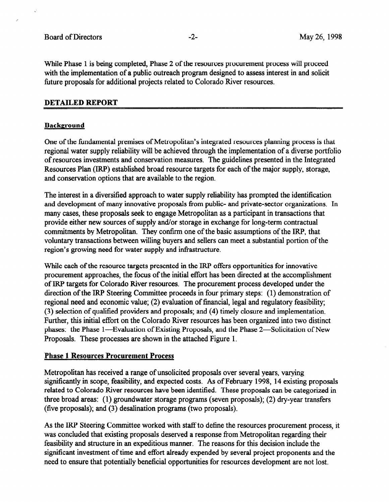While Phase 1 is being completed, Phase 2 of the resources procurement process will proceed with the implementation of a public outreach program designed to assess interest in and solicit future proposals for additional projects related to Colorado River resources.

#### DETAILED REPORT

#### Background

One of the tindamental premises of Metropolitan's integrated resources planning process is that regional water supply reliability will be achieved through the implementation of a diverse portfolio of resources investments and conservation measures. The guidelines presented in the Integrated Resources Plan (IRP) established broad resource targets for each of the major supply, storage, and conservation options that are available to the region.

The interest in a diversified approach to water supply reliability has prompted the identification and development of many innovative proposals from public- and private-sector organizations. In many cases, these proposals seek to engage Metropolitan as a participant in transactions that provide either new sources of supply and/or storage in exchange for long-term contractual commitments by Metropolitan. They confirm one of the basic assumptions of the IRP, that voluntary transactions between willing buyers and sellers can meet a substantial portion of the region's growing need for water supply and infrastructure.

While each of the resource targets presented in the IRP offers opportunities for innovative procurement approaches, the focus of the initial effort has been directed at the accomplishment of IRP targets for Colorado River resources. The procurement process developed under the direction of the IRP Steering Committee proceeds in four primary steps: (1) demonstration of regional need and economic value; (2) evaluation of financial, legal and regulatory feasibility; (3) selection of qualified providers and proposals; and (4) timely closure and implementation. Further, this initial effort on the Colorado River resources has been organized into two distinct phases: the Phase 1—Evaluation of Existing Proposals, and the Phase 2—Solicitation of New Proposals. These processes are shown in the attached Figure 1.

#### Phase 1 Resources Procurement Process

Metropolitan has received a range of unsolicited proposals over several years, varying significantly in scope, feasibility, and expected costs. As of February 1998, 14 existing proposals related to Colorado River resources have been identified. These proposals can be categorized in three broad areas: (1) groundwater storage programs (seven proposals); (2) dry-year transfers (five proposals); and (3) desalination programs (two proposals).

As the IRP Steering Committee worked with staff to define the resources procurement process, it was concluded that existing proposals deserved a response from Metropolitan regarding their feasibility and structure in an expeditious manner. The reasons for this decision include the significant investment of time and effort already expended by several project proponents and the need to ensure that potentially beneficial opportunities for resources development are not lost.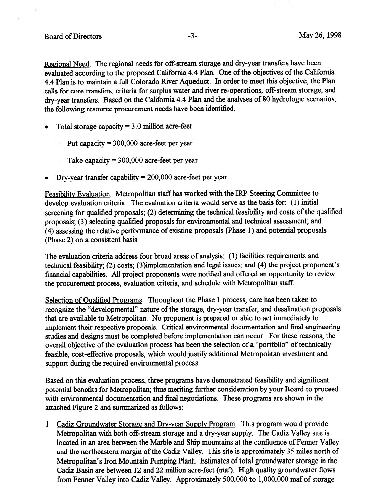Regional Need. The regional needs for off-stream storage and dry-year transfers have been evaluated according to the proposed California 4.4 Plan. One of the objectives of the California 4.4 Plan is to maintain a full Colorado River Aqueduct. In order to meet this objective, the Plan calls for core transfers, criteria for surplus water and river re-operations, off-stream storage, and dry-year transfers. Based on the California 4.4 Plan and the analyses of 80 hydrologic scenarios, the following resource procurement needs have been identified.

- Total storage capacity  $= 3.0$  million acre-feet
	- $-$  Put capacity = 300,000 acre-feet per year
	- Take capacity  $= 300,000$  acre-feet per year
- Dry-year transfer capability  $= 200,000$  acre-feet per year

Feasibilitv Evaluation. Metropolitan staff has worked with the IRP Steering Committee to develop evaluation criteria. The evaluation criteria would serve as the basis for: (1) initial screening for qualified proposals; (2) determining the technical feasibility and costs of the qualified proposals; (3) selecting qualified proposals for environmental and technical assessment; and (4) assessing the relative performance of existing proposals (Phase 1) and potential proposals (Phase 2) on a consistent basis.

The evaluation criteria address four broad areas of analysis: (1) facilities requirements and technical feasibility; (2) costs; (3)implementation and legal issues; and (4) the project proponent's financial capabilities. All project proponents were notified and offered an opportunity to review the procurement process, evaluation criteria, and schedule with Metropolitan staff.

Selection of Qualified Programs. Throughout the Phase 1 process, care has been taken to recognize the "developmental" nature of the storage, dry-year transfer, and desalination proposals that are available to Metropolitan. No proponent is prepared or able to act immediately to implement their respective proposals. Critical environmental documentation and final engineering studies and designs must be completed before implementation can occur. For these reasons, the overall objective of the evaluation process has been the selection of a "portfolio" of technically feasible, cost-effective proposals, which would justify additional Metropolitan investment and support during the required environmental process.

Based on this evaluation process, three programs have demonstrated feasibility and significant potential benefits for Metropolitan; thus meriting further consideration by your Board to proceed with environmental documentation and final negotiations. These programs are shown in the attached Figure 2 and summarized as follows:

1. Cadiz Groundwater Storage and Dry-year Supply Program. This program would provide Metropolitan with both off-stream storage and a dry-year supply. The Cadiz Valley site is located in an area between the Marble and Ship mountains at the confluence of Fenner Valley and the northeastern margin of the Cadiz Valley. This site is approximately 35 miles north of Metropolitan's Iron Mountain Pumping Plant. Estimates of total groundwater storage in the Cadiz Basin are between 12 and 22 million acre-feet (mat). High quality groundwater flows from Fenner Valley into Cadiz Valley. Approximately 500,000 to 1,000,000 maf of storage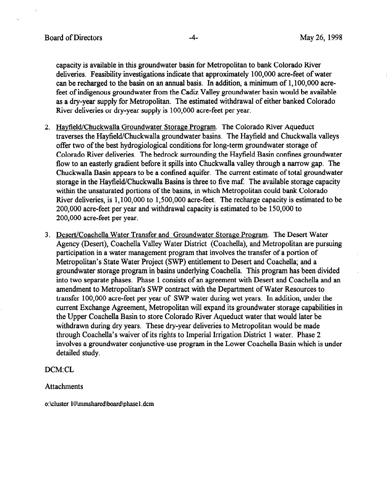capacity is available in this groundwater basin for Metropolitan to bank Colorado River deliveries. Feasibility investigations indicate that approximately 100,000 acre-feet of water can be recharged to the basin on an annual basis. In addition, a minimum of 1, 100,000 acrefeet of indigenous groundwater from the Cadiz Valley groundwater basin would be available as a dry-year supply for Metropolitan. The estimated withdrawal of either banked Colorado River deliveries or dry-year supply is 100,000 acre-feet per year.

- 2. Hayfield/Chuckwalla Groundwater Storage Program. The Colorado River Aqueduct traverses the Hayfield/Chuckwalla groundwater basins. The Hayfield and Chuckwalla valleys offer two of the best hydrogiological conditions for long-term groundwater storage of Colorado River deliveries. The bedrock surrounding the Hayfield Basin confines groundwater flow to an easterly gradient before it spills into Chuckwalla valley through a narrow gap. The Chuckwalla Basin appears to be a confined aquifer. The current estimate of total groundwater storage in the Hayfield/Chuckwalla Basins is three to five maf. The available storage capacity within the unsaturated portions of the basins, in which Metropolitan could bank Colorado River deliveries, is 1,100,000 to 1,500,000 acre-feet. The recharge capacity is estimated to be 200,000 acre-feet per year and withdrawal capacity is estimated to be 150,000 to 200,000 acre-feet per year.
- 3. Desert/Coachella Water Transfer and Groundwater Storage Program. The Desert Water Agency (Desert), Coachella Valley Water District (Coachella), and Metropolitan are pursuing participation in a water management program that involves the transfer of a portion of Metropolitan's State Water Project (SWP) entitlement to Desert and Coachella; and a groundwater storage program in basins underlying Coachella. This program has been divided into two separate phases. Phase 1 consists of an agreement with Desert and Coachella and an amendment to Metropolitan's SWP contract with the Department of Water Resources to transfer 100,000 acre-feet per year of SWP water during wet years. In addition, under the current Exchange Agreement, Metropolitan will expand its groundwater storage capabilities in the Upper Coachella Basin to store Colorado River Aqueduct water that would later be withdrawn during dry years. These dry-year deliveries to Metropolitan would be made through Coachella's waiver of its rights to Imperial Irrigation District 1 water. Phase 2 involves a groundwater conjunctive-use program in the Lower Coachella Basin which is under detailed study.

### DCM:CL

#### Attachments

o:\cluster 10\mmshared\board\phase1.dcm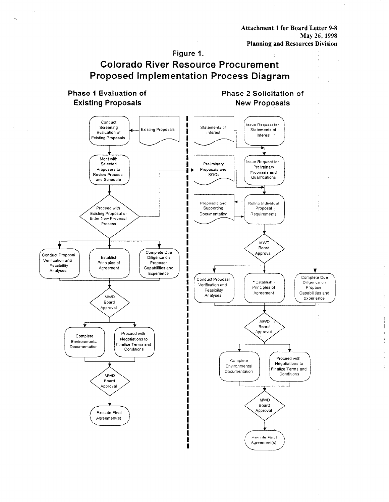Attachment 1 for Board Letter 9-8 May 26, 1998 Planning and Resources Division

# Figure I. Colorado River Resource Procurement Proposed Implementation Process Diagram